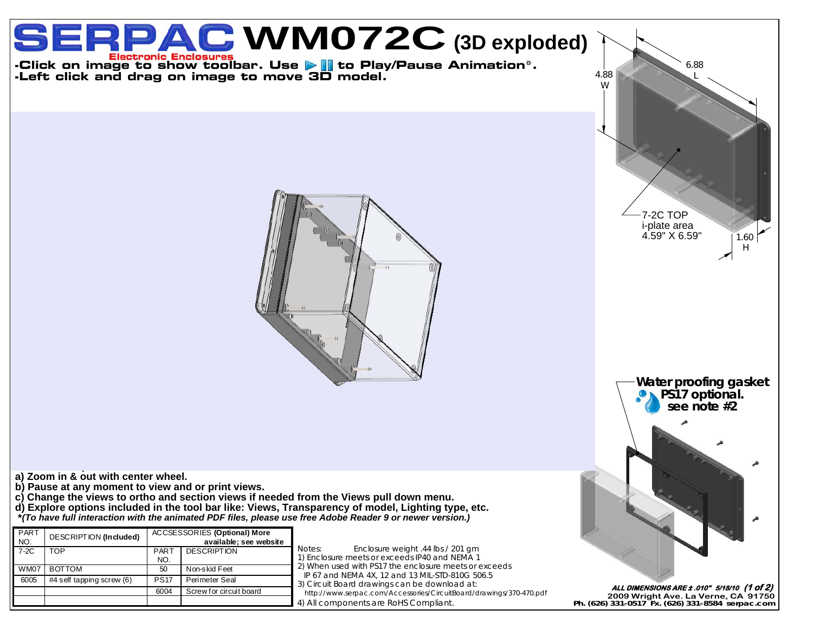